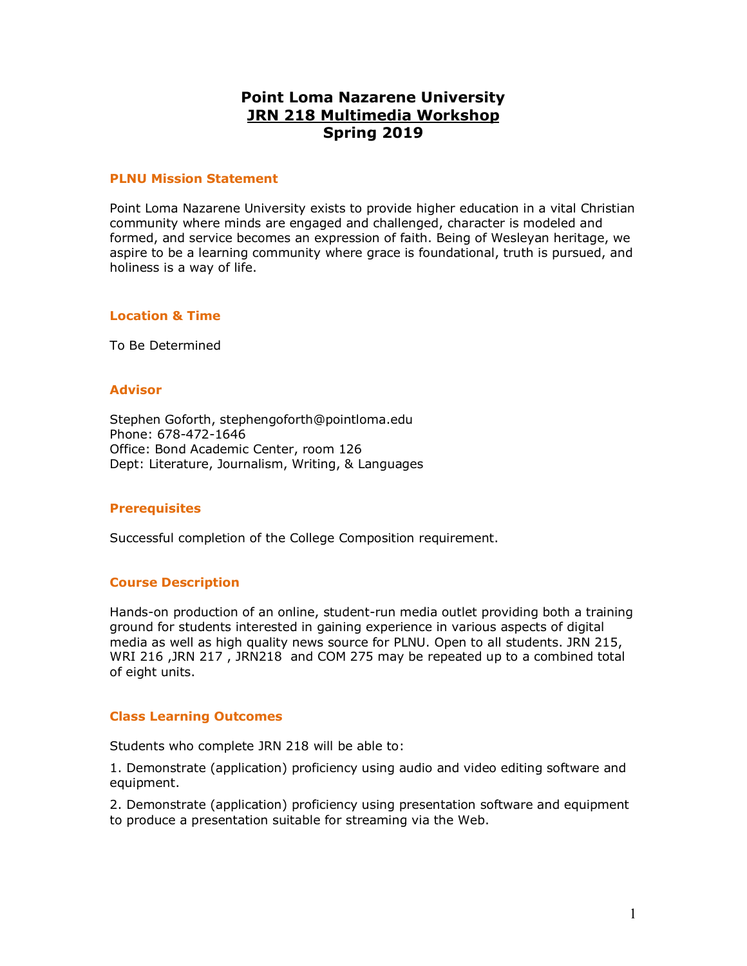# **Point Loma Nazarene University JRN 218 Multimedia Workshop Spring 2019**

### **PLNU Mission Statement**

Point Loma Nazarene University exists to provide higher education in a vital Christian community where minds are engaged and challenged, character is modeled and formed, and service becomes an expression of faith. Being of Wesleyan heritage, we aspire to be a learning community where grace is foundational, truth is pursued, and holiness is a way of life.

# **Location & Time**

To Be Determined

### **Advisor**

Stephen Goforth, stephengoforth@pointloma.edu Phone: 678-472-1646 Office: Bond Academic Center, room 126 Dept: Literature, Journalism, Writing, & Languages

#### **Prerequisites**

Successful completion of the College Composition requirement.

# **Course Description**

Hands-on production of an online, student-run media outlet providing both a training ground for students interested in gaining experience in various aspects of digital media as well as high quality news source for PLNU. Open to all students. JRN 215, WRI 216 ,JRN 217 , JRN218 and COM 275 may be repeated up to a combined total of eight units.

# **Class Learning Outcomes**

Students who complete JRN 218 will be able to:

1. Demonstrate (application) proficiency using audio and video editing software and equipment.

2. Demonstrate (application) proficiency using presentation software and equipment to produce a presentation suitable for streaming via the Web.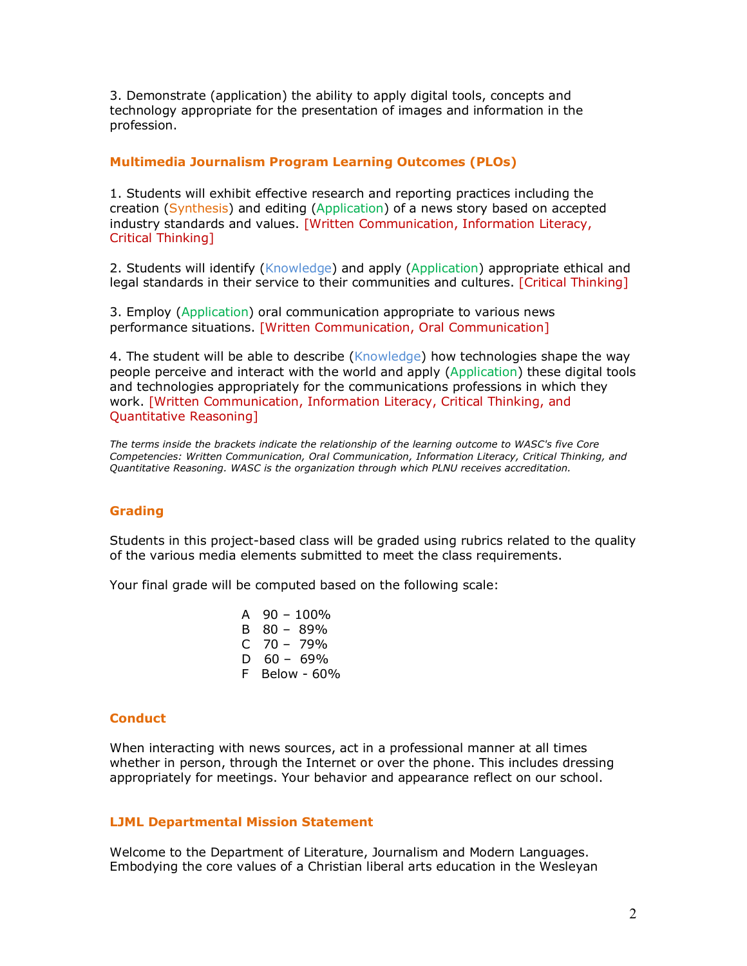3. Demonstrate (application) the ability to apply digital tools, concepts and technology appropriate for the presentation of images and information in the profession.

# **Multimedia Journalism Program Learning Outcomes (PLOs)**

1. Students will exhibit effective research and reporting practices including the creation (Synthesis) and editing (Application) of a news story based on accepted industry standards and values. [Written Communication, Information Literacy, Critical Thinking]

2. Students will identify (Knowledge) and apply (Application) appropriate ethical and legal standards in their service to their communities and cultures. [Critical Thinking]

3. Employ (Application) oral communication appropriate to various news performance situations. [Written Communication, Oral Communication]

4. The student will be able to describe (Knowledge) how technologies shape the way people perceive and interact with the world and apply (Application) these digital tools and technologies appropriately for the communications professions in which they work. [Written Communication, Information Literacy, Critical Thinking, and Quantitative Reasoning]

*The terms inside the brackets indicate the relationship of the learning outcome to WASC's five Core Competencies: Written Communication, Oral Communication, Information Literacy, Critical Thinking, and Quantitative Reasoning. WASC is the organization through which PLNU receives accreditation.* 

#### **Grading**

Students in this project-based class will be graded using rubrics related to the quality of the various media elements submitted to meet the class requirements.

Your final grade will be computed based on the following scale:

A  $90 - 100\%$ B 80 – 89%  $C$  70 – 79%  $D$  60 – 69% F Below - 60%

#### **Conduct**

When interacting with news sources, act in a professional manner at all times whether in person, through the Internet or over the phone. This includes dressing appropriately for meetings. Your behavior and appearance reflect on our school.

#### **LJML Departmental Mission Statement**

Welcome to the Department of Literature, Journalism and Modern Languages. Embodying the core values of a Christian liberal arts education in the Wesleyan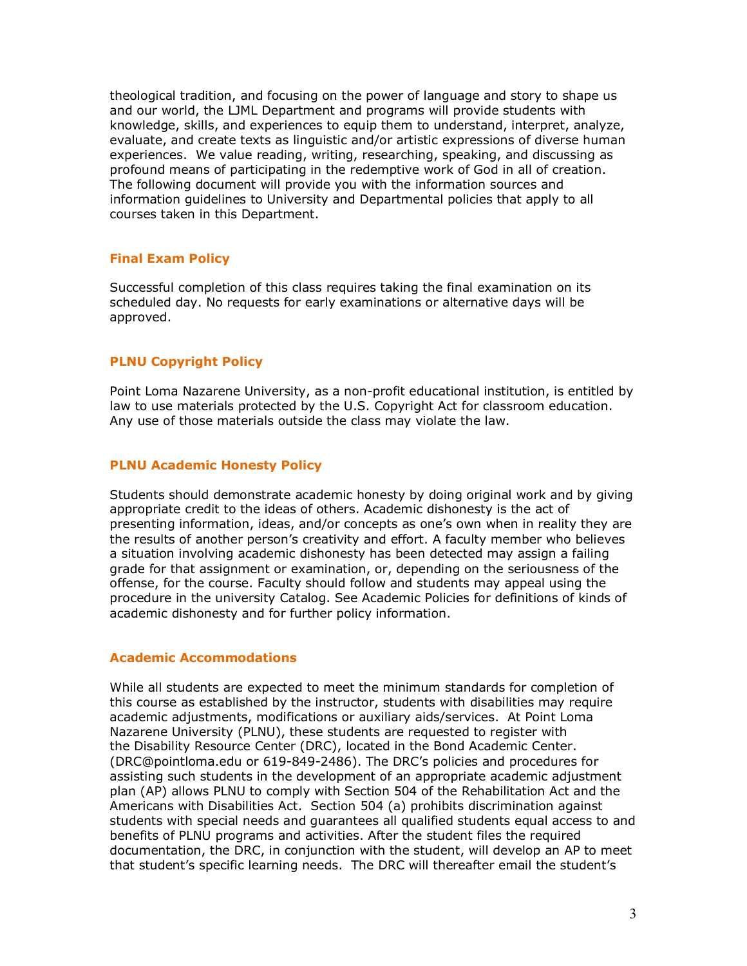theological tradition, and focusing on the power of language and story to shape us and our world, the LJML Department and programs will provide students with knowledge, skills, and experiences to equip them to understand, interpret, analyze, evaluate, and create texts as linguistic and/or artistic expressions of diverse human experiences. We value reading, writing, researching, speaking, and discussing as profound means of participating in the redemptive work of God in all of creation. The following document will provide you with the information sources and information guidelines to University and Departmental policies that apply to all courses taken in this Department.

# **Final Exam Policy**

Successful completion of this class requires taking the final examination on its scheduled day. No requests for early examinations or alternative days will be approved.

# **PLNU Copyright Policy**

Point Loma Nazarene University, as a non-profit educational institution, is entitled by law to use materials protected by the U.S. Copyright Act for classroom education. Any use of those materials outside the class may violate the law.

# **PLNU Academic Honesty Policy**

Students should demonstrate academic honesty by doing original work and by giving appropriate credit to the ideas of others. Academic dishonesty is the act of presenting information, ideas, and/or concepts as one's own when in reality they are the results of another person's creativity and effort. A faculty member who believes a situation involving academic dishonesty has been detected may assign a failing grade for that assignment or examination, or, depending on the seriousness of the offense, for the course. Faculty should follow and students may appeal using the procedure in the university Catalog. See Academic Policies for definitions of kinds of academic dishonesty and for further policy information.

# **Academic Accommodations**

While all students are expected to meet the minimum standards for completion of this course as established by the instructor, students with disabilities may require academic adjustments, modifications or auxiliary aids/services. At Point Loma Nazarene University (PLNU), these students are requested to register with the Disability Resource Center (DRC), located in the Bond Academic Center. (DRC@pointloma.edu or 619-849-2486). The DRC's policies and procedures for assisting such students in the development of an appropriate academic adjustment plan (AP) allows PLNU to comply with Section 504 of the Rehabilitation Act and the Americans with Disabilities Act. Section 504 (a) prohibits discrimination against students with special needs and guarantees all qualified students equal access to and benefits of PLNU programs and activities. After the student files the required documentation, the DRC, in conjunction with the student, will develop an AP to meet that student's specific learning needs. The DRC will thereafter email the student's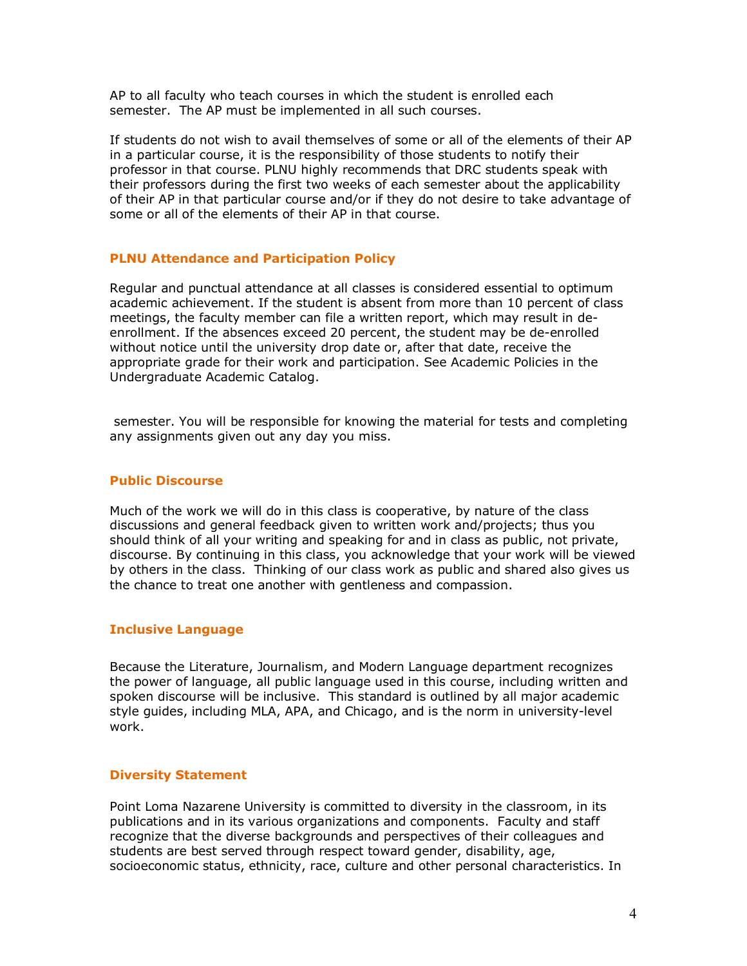AP to all faculty who teach courses in which the student is enrolled each semester. The AP must be implemented in all such courses.

If students do not wish to avail themselves of some or all of the elements of their AP in a particular course, it is the responsibility of those students to notify their professor in that course. PLNU highly recommends that DRC students speak with their professors during the first two weeks of each semester about the applicability of their AP in that particular course and/or if they do not desire to take advantage of some or all of the elements of their AP in that course.

# **PLNU Attendance and Participation Policy**

Regular and punctual attendance at all classes is considered essential to optimum academic achievement. If the student is absent from more than 10 percent of class meetings, the faculty member can file a written report, which may result in deenrollment. If the absences exceed 20 percent, the student may be de-enrolled without notice until the university drop date or, after that date, receive the appropriate grade for their work and participation. See Academic Policies in the Undergraduate Academic Catalog.

semester. You will be responsible for knowing the material for tests and completing any assignments given out any day you miss.

# **Public Discourse**

Much of the work we will do in this class is cooperative, by nature of the class discussions and general feedback given to written work and/projects; thus you should think of all your writing and speaking for and in class as public, not private, discourse. By continuing in this class, you acknowledge that your work will be viewed by others in the class. Thinking of our class work as public and shared also gives us the chance to treat one another with gentleness and compassion.

# **Inclusive Language**

Because the Literature, Journalism, and Modern Language department recognizes the power of language, all public language used in this course, including written and spoken discourse will be inclusive. This standard is outlined by all major academic style guides, including MLA, APA, and Chicago, and is the norm in university-level work.

# **Diversity Statement**

Point Loma Nazarene University is committed to diversity in the classroom, in its publications and in its various organizations and components. Faculty and staff recognize that the diverse backgrounds and perspectives of their colleagues and students are best served through respect toward gender, disability, age, socioeconomic status, ethnicity, race, culture and other personal characteristics. In